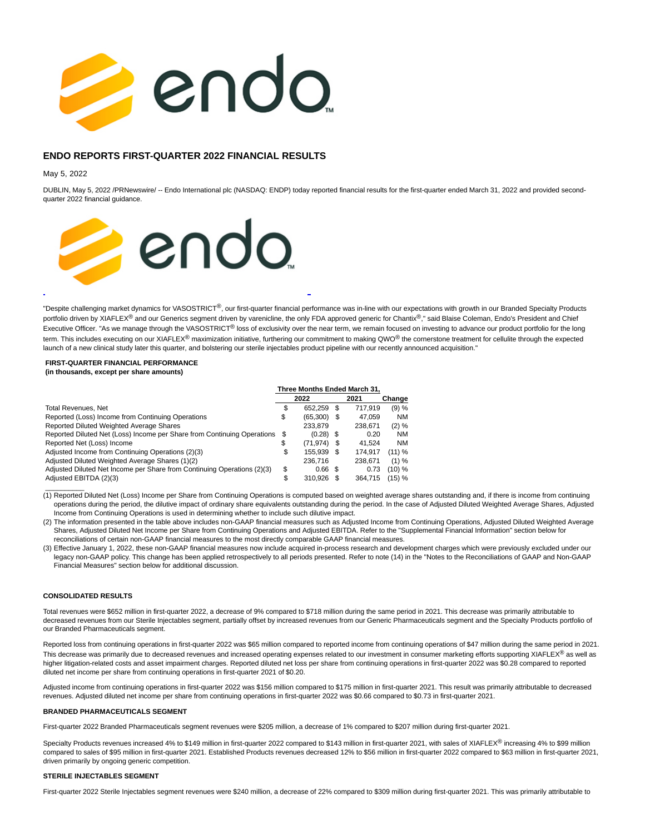

# **ENDO REPORTS FIRST-QUARTER 2022 FINANCIAL RESULTS**

May 5, 2022

DUBLIN, May 5, 2022 /PRNewswire/ -- Endo International plc (NASDAQ: ENDP) today reported financial results for the first-quarter ended March 31, 2022 and provided secondquarter 2022 financial guidance.



"Despite challenging market dynamics for VASOSTRICT®, our first-quarter financial performance was in-line with our expectations with growth in our Branded Specialty Products portfolio driven by XIAFLEX® and our Generics segment driven by varenicline, the only FDA approved generic for Chantix®," said Blaise Coleman, Endo's President and Chief Executive Officer. "As we manage through the VASOSTRICT® loss of exclusivity over the near term, we remain focused on investing to advance our product portfolio for the long term. This includes executing on our XIAFLEX<sup>®</sup> maximization initiative, furthering our commitment to making QWO<sup>®</sup> the cornerstone treatment for cellulite through the expected launch of a new clinical study later this quarter, and bolstering our sterile injectables product pipeline with our recently announced acquisition."

### **FIRST-QUARTER FINANCIAL PERFORMANCE (in thousands, except per share amounts)**

|                                                                         |    | Three Months Ended March 31, |         |           |
|-------------------------------------------------------------------------|----|------------------------------|---------|-----------|
|                                                                         |    | 2022                         | 2021    | Change    |
| <b>Total Revenues, Net</b>                                              | S  | 652.259 \$                   | 717.919 | (9) %     |
| Reported (Loss) Income from Continuing Operations                       | S  | $(65,300)$ \$                | 47.059  | <b>NM</b> |
| Reported Diluted Weighted Average Shares                                |    | 233.879                      | 238.671 | $(2) \%$  |
| Reported Diluted Net (Loss) Income per Share from Continuing Operations | S  | $(0.28)$ \$                  | 0.20    | <b>NM</b> |
| Reported Net (Loss) Income                                              | S  | $(71, 974)$ \$               | 41.524  | <b>NM</b> |
| Adjusted Income from Continuing Operations (2)(3)                       | \$ | 155.939 \$                   | 174.917 | (11) %    |
| Adjusted Diluted Weighted Average Shares (1)(2)                         |    | 236.716                      | 238.671 | (1) %     |
| Adjusted Diluted Net Income per Share from Continuing Operations (2)(3) | \$ | $0.66$ \$                    | 0.73    | (10) %    |
| Adjusted EBITDA (2)(3)                                                  | \$ | 310.926 \$                   | 364.715 | (15) %    |
|                                                                         |    |                              |         |           |

(1) Reported Diluted Net (Loss) Income per Share from Continuing Operations is computed based on weighted average shares outstanding and, if there is income from continuing operations during the period, the dilutive impact of ordinary share equivalents outstanding during the period. In the case of Adjusted Diluted Weighted Average Shares, Adjusted Income from Continuing Operations is used in determining whether to include such dilutive impact.

(2) The information presented in the table above includes non-GAAP financial measures such as Adjusted Income from Continuing Operations, Adjusted Diluted Weighted Average Shares, Adjusted Diluted Net Income per Share from Continuing Operations and Adjusted EBITDA. Refer to the "Supplemental Financial Information" section below for reconciliations of certain non-GAAP financial measures to the most directly comparable GAAP financial measures.

(3) Effective January 1, 2022, these non-GAAP financial measures now include acquired in-process research and development charges which were previously excluded under our legacy non-GAAP policy. This change has been applied retrospectively to all periods presented. Refer to note (14) in the "Notes to the Reconciliations of GAAP and Non-GAAP Financial Measures" section below for additional discussion.

# **CONSOLIDATED RESULTS**

Total revenues were \$652 million in first-quarter 2022, a decrease of 9% compared to \$718 million during the same period in 2021. This decrease was primarily attributable to decreased revenues from our Sterile Injectables segment, partially offset by increased revenues from our Generic Pharmaceuticals segment and the Specialty Products portfolio of our Branded Pharmaceuticals segment.

Reported loss from continuing operations in first-quarter 2022 was \$65 million compared to reported income from continuing operations of \$47 million during the same period in 2021. This decrease was primarily due to decreased revenues and increased operating expenses related to our investment in consumer marketing efforts supporting XIAFLEX® as well as higher litigation-related costs and asset impairment charges. Reported diluted net loss per share from continuing operations in first-quarter 2022 was \$0.28 compared to reported diluted net income per share from continuing operations in first-quarter 2021 of \$0.20.

Adjusted income from continuing operations in first-quarter 2022 was \$156 million compared to \$175 million in first-quarter 2021. This result was primarily attributable to decreased revenues. Adjusted diluted net income per share from continuing operations in first-quarter 2022 was \$0.66 compared to \$0.73 in first-quarter 2021.

### **BRANDED PHARMACEUTICALS SEGMENT**

First-quarter 2022 Branded Pharmaceuticals segment revenues were \$205 million, a decrease of 1% compared to \$207 million during first-quarter 2021.

Specialty Products revenues increased 4% to \$149 million in first-quarter 2022 compared to \$143 million in first-quarter 2021, with sales of XIAFLEX® increasing 4% to \$99 million compared to sales of \$95 million in first-quarter 2021. Established Products revenues decreased 12% to \$56 million in first-quarter 2022 compared to \$63 million in first-quarter 2021, driven primarily by ongoing generic competition.

## **STERILE INJECTABLES SEGMENT**

First-quarter 2022 Sterile Injectables segment revenues were \$240 million, a decrease of 22% compared to \$309 million during first-quarter 2021. This was primarily attributable to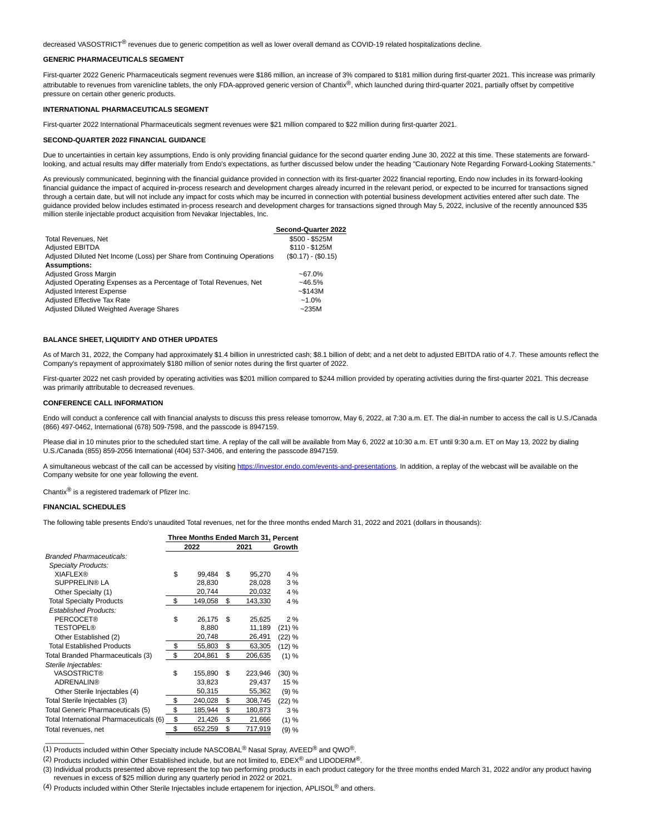decreased VASOSTRICT<sup>®</sup> revenues due to generic competition as well as lower overall demand as COVID-19 related hospitalizations decline.

## **GENERIC PHARMACEUTICALS SEGMENT**

First-quarter 2022 Generic Pharmaceuticals segment revenues were \$186 million, an increase of 3% compared to \$181 million during first-quarter 2021. This increase was primarily attributable to revenues from varenicline tablets, the only FDA-approved generic version of Chantix®, which launched during third-quarter 2021, partially offset by competitive pressure on certain other generic products.

### **INTERNATIONAL PHARMACEUTICALS SEGMENT**

First-quarter 2022 International Pharmaceuticals segment revenues were \$21 million compared to \$22 million during first-quarter 2021.

#### **SECOND-QUARTER 2022 FINANCIAL GUIDANCE**

Due to uncertainties in certain key assumptions, Endo is only providing financial guidance for the second quarter ending June 30, 2022 at this time. These statements are forwardlooking, and actual results may differ materially from Endo's expectations, as further discussed below under the heading "Cautionary Note Regarding Forward-Looking Statements."

As previously communicated, beginning with the financial guidance provided in connection with its first-quarter 2022 financial reporting, Endo now includes in its forward-looking financial guidance the impact of acquired in-process research and development charges already incurred in the relevant period, or expected to be incurred for transactions signed through a certain date, but will not include any impact for costs which may be incurred in connection with potential business development activities entered after such date. The guidance provided below includes estimated in-process research and development charges for transactions signed through May 5, 2022, inclusive of the recently announced \$35 million sterile injectable product acquisition from Nevakar Injectables, Inc.

|                                                                         | Second-Quarter 2022 |
|-------------------------------------------------------------------------|---------------------|
| <b>Total Revenues, Net</b>                                              | \$500 - \$525M      |
| <b>Adiusted EBITDA</b>                                                  | \$110 - \$125M      |
| Adjusted Diluted Net Income (Loss) per Share from Continuing Operations | $(S0.17) - (S0.15)$ |
| <b>Assumptions:</b>                                                     |                     |
| <b>Adjusted Gross Margin</b>                                            | $-67.0%$            |
| Adjusted Operating Expenses as a Percentage of Total Revenues, Net      | $-46.5%$            |
| <b>Adjusted Interest Expense</b>                                        | $~-$143M$           |
| <b>Adjusted Effective Tax Rate</b>                                      | $-1.0%$             |
| Adjusted Diluted Weighted Average Shares                                | ~235M               |

## **BALANCE SHEET, LIQUIDITY AND OTHER UPDATES**

As of March 31, 2022, the Company had approximately \$1.4 billion in unrestricted cash; \$8.1 billion of debt; and a net debt to adjusted EBITDA ratio of 4.7. These amounts reflect the Company's repayment of approximately \$180 million of senior notes during the first quarter of 2022.

First-quarter 2022 net cash provided by operating activities was \$201 million compared to \$244 million provided by operating activities during the first-quarter 2021. This decrease was primarily attributable to decreased revenues.

#### **CONFERENCE CALL INFORMATION**

Endo will conduct a conference call with financial analysts to discuss this press release tomorrow, May 6, 2022, at 7:30 a.m. ET. The dial-in number to access the call is U.S./Canada (866) 497-0462, International (678) 509-7598, and the passcode is 8947159.

Please dial in 10 minutes prior to the scheduled start time. A replay of the call will be available from May 6, 2022 at 10:30 a.m. ET until 9:30 a.m. ET on May 13, 2022 by dialing U.S./Canada (855) 859-2056 International (404) 537-3406, and entering the passcode 8947159.

A simultaneous webcast of the call can be accessed by visiting [https://investor.endo.com/events-and-presentations.](https://c212.net/c/link/?t=0&l=en&o=3527579-1&h=2185612669&u=https%3A%2F%2Finvestor.endo.com%2Fevents-and-presentations&a=https%3A%2F%2Finvestor.endo.com%2Fevents-and-presentations) In addition, a replay of the webcast will be available on the Company website for one year following the event.

Chantix® is a registered trademark of Pfizer Inc.

## **FINANCIAL SCHEDULES**

 $\overline{\phantom{a}}$ 

The following table presents Endo's unaudited Total revenues, net for the three months ended March 31, 2022 and 2021 (dollars in thousands):

|                                         |               | Three Months Ended March 31, Percent |        |
|-----------------------------------------|---------------|--------------------------------------|--------|
|                                         | 2022          | 2021                                 | Growth |
| <b>Branded Pharmaceuticals:</b>         |               |                                      |        |
| <b>Specialty Products:</b>              |               |                                      |        |
| <b>XIAFLEX®</b>                         | \$<br>99,484  | \$<br>95,270                         | 4 %    |
| <b>SUPPRELIN® LA</b>                    | 28,830        | 28,028                               | 3%     |
| Other Specialty (1)                     | 20,744        | 20,032                               | 4 %    |
| <b>Total Specialty Products</b>         | \$<br>149,058 | \$<br>143,330                        | 4 %    |
| <b>Established Products:</b>            |               |                                      |        |
| <b>PERCOCET®</b>                        | \$<br>26,175  | \$<br>25,625                         | 2%     |
| <b>TESTOPEL®</b>                        | 8,880         | 11,189                               | (21) % |
| Other Established (2)                   | 20,748        | 26,491                               | (22) % |
| <b>Total Established Products</b>       | \$<br>55,803  | \$<br>63,305                         | (12) % |
| Total Branded Pharmaceuticals (3)       | \$<br>204,861 | \$<br>206,635                        | (1) %  |
| Sterile Injectables:                    |               |                                      |        |
| <b>VASOSTRICT®</b>                      | \$<br>155,890 | \$<br>223,946                        | (30) % |
| <b>ADRENALIN®</b>                       | 33,823        | 29,437                               | 15 %   |
| Other Sterile Injectables (4)           | 50,315        | 55,362                               | (9) %  |
| Total Sterile Injectables (3)           | \$<br>240,028 | \$<br>308,745                        | (22) % |
| Total Generic Pharmaceuticals (5)       | \$<br>185,944 | \$<br>180,873                        | 3%     |
| Total International Pharmaceuticals (6) | \$<br>21,426  | \$<br>21,666                         | (1) %  |
| Total revenues, net                     | \$<br>652,259 | \$<br>717,919                        | (9) %  |

(1) Products included within Other Specialty include  $NASCOBAL^@$  Nasal Spray,  $AVEED^@$  and  $QWO^@$ .

(2) Products included within Other Established include, but are not limited to, EDEX® and LIDODERM®.

(3) Individual products presented above represent the top two performing products in each product category for the three months ended March 31, 2022 and/or any product having revenues in excess of \$25 million during any quarterly period in 2022 or 2021.

(4) Products included within Other Sterile Injectables include ertapenem for injection, APLISOL® and others.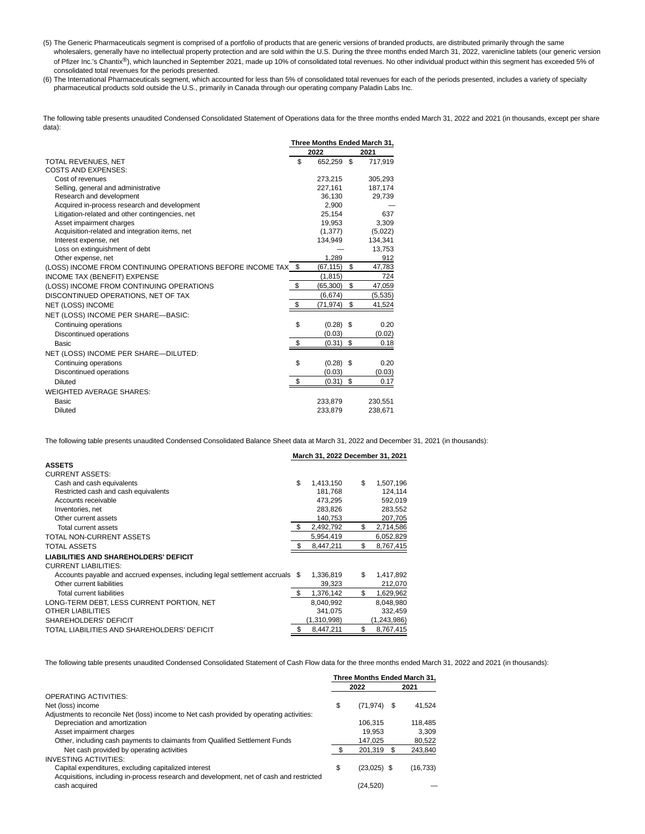(5) The Generic Pharmaceuticals segment is comprised of a portfolio of products that are generic versions of branded products, are distributed primarily through the same wholesalers, generally have no intellectual property protection and are sold within the U.S. During the three months ended March 31, 2022, varenicline tablets (our generic version of Pfizer Inc.'s Chantix<sup>®</sup>), which launched in September 2021, made up 10% of consolidated total revenues. No other individual product within this segment has exceeded 5% of consolidated total revenues for the periods presented.

(6) The International Pharmaceuticals segment, which accounted for less than 5% of consolidated total revenues for each of the periods presented, includes a variety of specialty pharmaceutical products sold outside the U.S., primarily in Canada through our operating company Paladin Labs Inc.

The following table presents unaudited Condensed Consolidated Statement of Operations data for the three months ended March 31, 2022 and 2021 (in thousands, except per share data):

|                                                               | Three Months Ended March 31, |    |          |
|---------------------------------------------------------------|------------------------------|----|----------|
|                                                               | 2022                         |    | 2021     |
| TOTAL REVENUES, NET                                           | \$<br>652,259 \$             |    | 717,919  |
| <b>COSTS AND EXPENSES:</b>                                    |                              |    |          |
| Cost of revenues                                              | 273,215                      |    | 305,293  |
| Selling, general and administrative                           | 227,161                      |    | 187,174  |
| Research and development                                      | 36.130                       |    | 29,739   |
| Acquired in-process research and development                  | 2,900                        |    |          |
| Litigation-related and other contingencies, net               | 25,154                       |    | 637      |
| Asset impairment charges                                      | 19,953                       |    | 3,309    |
| Acquisition-related and integration items, net                | (1, 377)                     |    | (5,022)  |
| Interest expense, net                                         | 134,949                      |    | 134,341  |
| Loss on extinguishment of debt                                |                              |    | 13,753   |
| Other expense, net                                            | 1,289                        |    | 912      |
| (LOSS) INCOME FROM CONTINUING OPERATIONS BEFORE INCOME TAX \$ | (67, 115)                    | \$ | 47,783   |
| INCOME TAX (BENEFIT) EXPENSE                                  | (1, 815)                     |    | 724      |
| (LOSS) INCOME FROM CONTINUING OPERATIONS                      | \$<br>(65, 300)              | \$ | 47,059   |
| DISCONTINUED OPERATIONS, NET OF TAX                           | (6,674)                      |    | (5, 535) |
| NET (LOSS) INCOME                                             | \$<br>(71, 974)              | \$ | 41,524   |
| NET (LOSS) INCOME PER SHARE-BASIC:                            |                              |    |          |
| Continuing operations                                         | \$<br>$(0.28)$ \$            |    | 0.20     |
| Discontinued operations                                       | (0.03)                       |    | (0.02)   |
| Basic                                                         | \$<br>(0.31)                 | \$ | 0.18     |
| NET (LOSS) INCOME PER SHARE-DILUTED:                          |                              |    |          |
| Continuing operations                                         | \$<br>$(0.28)$ \$            |    | 0.20     |
| Discontinued operations                                       | (0.03)                       |    | (0.03)   |
| <b>Diluted</b>                                                | \$<br>(0.31)                 | -S | 0.17     |
| <b>WEIGHTED AVERAGE SHARES:</b>                               |                              |    |          |
| Basic                                                         | 233.879                      |    | 230,551  |
| Diluted                                                       | 233,879                      |    | 238,671  |

The following table presents unaudited Condensed Consolidated Balance Sheet data at March 31, 2022 and December 31, 2021 (in thousands):

|                                                                               |      | March 31, 2022 December 31, 2021 |    |             |  |  |  |  |  |
|-------------------------------------------------------------------------------|------|----------------------------------|----|-------------|--|--|--|--|--|
| <b>ASSETS</b>                                                                 |      |                                  |    |             |  |  |  |  |  |
| <b>CURRENT ASSETS:</b>                                                        |      |                                  |    |             |  |  |  |  |  |
| Cash and cash equivalents                                                     | \$   | 1,413,150                        | \$ | 1,507,196   |  |  |  |  |  |
| Restricted cash and cash equivalents                                          |      | 181,768                          |    | 124,114     |  |  |  |  |  |
| Accounts receivable                                                           |      | 473,295                          |    | 592,019     |  |  |  |  |  |
| Inventories, net                                                              |      | 283,826                          |    | 283,552     |  |  |  |  |  |
| Other current assets                                                          |      | 140,753                          |    | 207,705     |  |  |  |  |  |
| Total current assets                                                          | - \$ | 2,492,792                        | \$ | 2,714,586   |  |  |  |  |  |
| TOTAL NON-CURRENT ASSETS                                                      |      | 5,954,419                        |    | 6,052,829   |  |  |  |  |  |
| <b>TOTAL ASSETS</b>                                                           |      | 8,447,211                        | \$ | 8,767,415   |  |  |  |  |  |
| <b>LIABILITIES AND SHAREHOLDERS' DEFICIT</b>                                  |      |                                  |    |             |  |  |  |  |  |
| <b>CURRENT LIABILITIES:</b>                                                   |      |                                  |    |             |  |  |  |  |  |
| Accounts payable and accrued expenses, including legal settlement accruals \$ |      | 1,336,819                        | \$ | 1,417,892   |  |  |  |  |  |
| Other current liabilities                                                     |      | 39,323                           |    | 212,070     |  |  |  |  |  |
| Total current liabilities                                                     | \$   | 1,376,142                        | \$ | 1,629,962   |  |  |  |  |  |
| LONG-TERM DEBT, LESS CURRENT PORTION, NET                                     |      | 8,040,992                        |    | 8,048,980   |  |  |  |  |  |
| OTHER LIABILITIES                                                             |      | 341,075                          |    | 332,459     |  |  |  |  |  |
| <b>SHAREHOLDERS' DEFICIT</b>                                                  |      | (1,310,998)                      |    | (1,243,986) |  |  |  |  |  |
| TOTAL LIABILITIES AND SHAREHOLDERS' DEFICIT                                   |      | 8,447,211                        | S  | 8,767,415   |  |  |  |  |  |

The following table presents unaudited Condensed Consolidated Statement of Cash Flow data for the three months ended March 31, 2022 and 2021 (in thousands):

|                                                                                          | Three Months Ended March 31. |     |           |
|------------------------------------------------------------------------------------------|------------------------------|-----|-----------|
|                                                                                          | 2022                         |     | 2021      |
| <b>OPERATING ACTIVITIES:</b>                                                             |                              |     |           |
| Net (loss) income                                                                        | \$<br>$(71, 974)$ \$         |     | 41.524    |
| Adjustments to reconcile Net (loss) income to Net cash provided by operating activities: |                              |     |           |
| Depreciation and amortization                                                            | 106.315                      |     | 118.485   |
| Asset impairment charges                                                                 | 19.953                       |     | 3.309     |
| Other, including cash payments to claimants from Qualified Settlement Funds              | 147.025                      |     | 80,522    |
| Net cash provided by operating activities                                                | 201.319                      | \$. | 243,840   |
| INVESTING ACTIVITIES:                                                                    |                              |     |           |
| Capital expenditures, excluding capitalized interest                                     | \$<br>$(23,025)$ \$          |     | (16, 733) |
| Acquisitions, including in-process research and development, net of cash and restricted  |                              |     |           |
| cash acquired                                                                            | (24, 520)                    |     |           |
|                                                                                          |                              |     |           |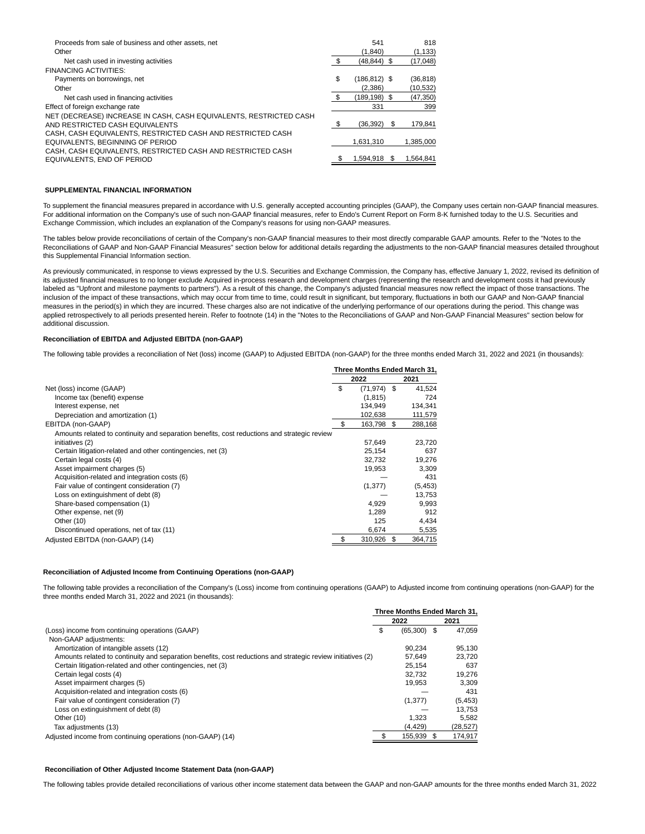| Proceeds from sale of business and other assets, net                                      |      | 541             |   | 818       |
|-------------------------------------------------------------------------------------------|------|-----------------|---|-----------|
| Other                                                                                     |      | (1.840)         |   | (1, 133)  |
| Net cash used in investing activities                                                     |      | $(48.844)$ \$   |   | (17,048)  |
| <b>FINANCING ACTIVITIES:</b>                                                              |      |                 |   |           |
| Payments on borrowings, net                                                               | \$   | $(186, 812)$ \$ |   | (36, 818) |
| Other                                                                                     |      | (2.386)         |   | (10, 532) |
| Net cash used in financing activities                                                     | - \$ | $(189.198)$ \$  |   | (47, 350) |
| Effect of foreign exchange rate                                                           |      | 331             |   | 399       |
| NET (DECREASE) INCREASE IN CASH, CASH EQUIVALENTS, RESTRICTED CASH                        |      |                 |   |           |
| AND RESTRICTED CASH EQUIVALENTS                                                           | - \$ | (36.392)        | S | 179,841   |
| CASH, CASH EQUIVALENTS, RESTRICTED CASH AND RESTRICTED CASH                               |      |                 |   |           |
| EQUIVALENTS, BEGINNING OF PERIOD                                                          |      | 1.631.310       |   | 1.385.000 |
| CASH, CASH EQUIVALENTS, RESTRICTED CASH AND RESTRICTED CASH<br>EQUIVALENTS. END OF PERIOD |      | 1.594.918       |   | 1.564.841 |
|                                                                                           |      |                 |   |           |

## **SUPPLEMENTAL FINANCIAL INFORMATION**

To supplement the financial measures prepared in accordance with U.S. generally accepted accounting principles (GAAP), the Company uses certain non-GAAP financial measures. For additional information on the Company's use of such non-GAAP financial measures, refer to Endo's Current Report on Form 8-K furnished today to the U.S. Securities and Exchange Commission, which includes an explanation of the Company's reasons for using non-GAAP measures.

The tables below provide reconciliations of certain of the Company's non-GAAP financial measures to their most directly comparable GAAP amounts. Refer to the "Notes to the Reconciliations of GAAP and Non-GAAP Financial Measures" section below for additional details regarding the adjustments to the non-GAAP financial measures detailed throughout this Supplemental Financial Information section.

As previously communicated, in response to views expressed by the U.S. Securities and Exchange Commission, the Company has, effective January 1, 2022, revised its definition of its adjusted financial measures to no longer exclude Acquired in-process research and development charges (representing the research and development costs it had previously labeled as "Upfront and milestone payments to partners"). As a result of this change, the Company's adjusted financial measures now reflect the impact of those transactions. The inclusion of the impact of these transactions, which may occur from time to time, could result in significant, but temporary, fluctuations in both our GAAP and Non-GAAP financial measures in the period(s) in which they are incurred. These charges also are not indicative of the underlying performance of our operations during the period. This change was applied retrospectively to all periods presented herein. Refer to footnote (14) in the "Notes to the Reconciliations of GAAP and Non-GAAP Financial Measures" section below for additional discussion.

## **Reconciliation of EBITDA and Adjusted EBITDA (non-GAAP)**

The following table provides a reconciliation of Net (loss) income (GAAP) to Adjusted EBITDA (non-GAAP) for the three months ended March 31, 2022 and 2021 (in thousands):

|                                                                                             |                  |     | Three Months Ended March 31, |
|---------------------------------------------------------------------------------------------|------------------|-----|------------------------------|
|                                                                                             | 2022             |     | 2021                         |
| Net (loss) income (GAAP)                                                                    | \$<br>(71, 974)  | -\$ | 41,524                       |
| Income tax (benefit) expense                                                                | (1, 815)         |     | 724                          |
| Interest expense, net                                                                       | 134.949          |     | 134,341                      |
| Depreciation and amortization (1)                                                           | 102,638          |     | 111,579                      |
| EBITDA (non-GAAP)                                                                           | \$<br>163.798 \$ |     | 288,168                      |
| Amounts related to continuity and separation benefits, cost reductions and strategic review |                  |     |                              |
| initiatives (2)                                                                             | 57,649           |     | 23,720                       |
| Certain litigation-related and other contingencies, net (3)                                 | 25.154           |     | 637                          |
| Certain legal costs (4)                                                                     | 32,732           |     | 19,276                       |
| Asset impairment charges (5)                                                                | 19,953           |     | 3,309                        |
| Acquisition-related and integration costs (6)                                               |                  |     | 431                          |
| Fair value of contingent consideration (7)                                                  | (1, 377)         |     | (5, 453)                     |
| Loss on extinguishment of debt (8)                                                          |                  |     | 13,753                       |
| Share-based compensation (1)                                                                | 4,929            |     | 9,993                        |
| Other expense, net (9)                                                                      | 1,289            |     | 912                          |
| Other (10)                                                                                  | 125              |     | 4,434                        |
| Discontinued operations, net of tax (11)                                                    | 6,674            |     | 5,535                        |
| Adjusted EBITDA (non-GAAP) (14)                                                             | \$<br>310,926    | \$. | 364,715                      |

## **Reconciliation of Adjusted Income from Continuing Operations (non-GAAP)**

The following table provides a reconciliation of the Company's (Loss) income from continuing operations (GAAP) to Adjusted income from continuing operations (non-GAAP) for the three months ended March 31, 2022 and 2021 (in thousands):

|                                                                                                             | Three Months Ended March 31. |           |
|-------------------------------------------------------------------------------------------------------------|------------------------------|-----------|
|                                                                                                             | 2022                         | 2021      |
| (Loss) income from continuing operations (GAAP)                                                             | \$<br>$(65,300)$ \$          | 47.059    |
| Non-GAAP adjustments:                                                                                       |                              |           |
| Amortization of intangible assets (12)                                                                      | 90.234                       | 95,130    |
| Amounts related to continuity and separation benefits, cost reductions and strategic review initiatives (2) | 57.649                       | 23.720    |
| Certain litigation-related and other contingencies, net (3)                                                 | 25.154                       | 637       |
| Certain legal costs (4)                                                                                     | 32.732                       | 19.276    |
| Asset impairment charges (5)                                                                                | 19.953                       | 3.309     |
| Acquisition-related and integration costs (6)                                                               |                              | 431       |
| Fair value of contingent consideration (7)                                                                  | (1, 377)                     | (5, 453)  |
| Loss on extinguishment of debt (8)                                                                          |                              | 13,753    |
| Other (10)                                                                                                  | 1.323                        | 5.582     |
| Tax adjustments (13)                                                                                        | (4.429)                      | (28, 527) |
| Adjusted income from continuing operations (non-GAAP) (14)                                                  | 155.939                      | 174,917   |

### **Reconciliation of Other Adjusted Income Statement Data (non-GAAP)**

The following tables provide detailed reconciliations of various other income statement data between the GAAP and non-GAAP amounts for the three months ended March 31, 2022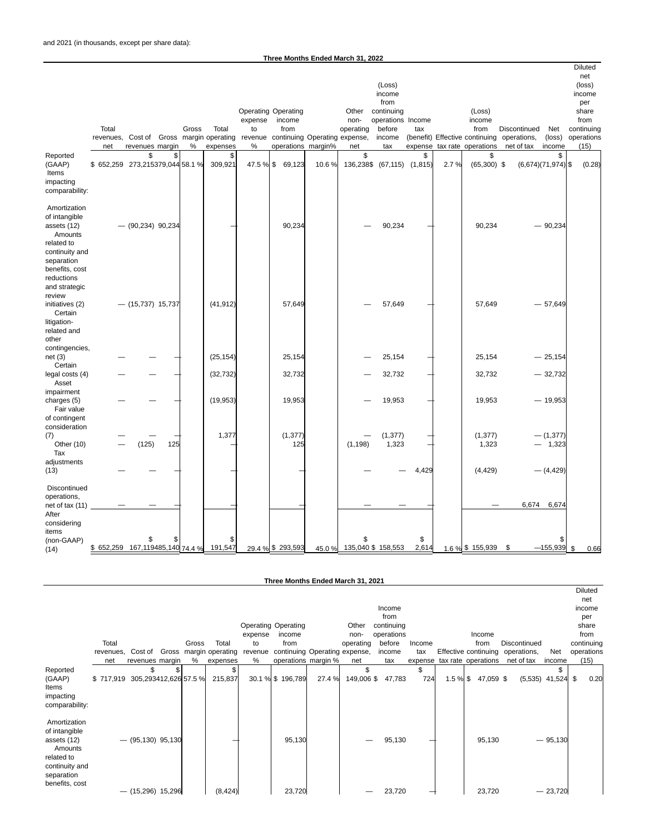|                                                                                                                         |                                 |                             |     |            |                                                               |                    | Three Months Ended March 31, 2022                                                                           |       |                                   |                                                            |                              |      |                                                         |                                                                          |                            |                                                   |
|-------------------------------------------------------------------------------------------------------------------------|---------------------------------|-----------------------------|-----|------------|---------------------------------------------------------------|--------------------|-------------------------------------------------------------------------------------------------------------|-------|-----------------------------------|------------------------------------------------------------|------------------------------|------|---------------------------------------------------------|--------------------------------------------------------------------------|----------------------------|---------------------------------------------------|
|                                                                                                                         |                                 |                             |     |            |                                                               |                    |                                                                                                             |       |                                   | (Loss)<br>income<br>from                                   |                              |      |                                                         |                                                                          |                            | <b>Diluted</b><br>net<br>(loss)<br>income<br>per  |
|                                                                                                                         | Total<br>net                    | revenues margin             |     | Gross<br>% | Total<br>revenues, Cost of Gross margin operating<br>expenses | expense<br>to<br>% | <b>Operating Operating</b><br>income<br>from<br>revenue continuing Operating expense,<br>operations margin% |       | Other<br>non-<br>operating<br>net | continuing<br>operations Income<br>before<br>income<br>tax | tax                          |      | (Loss)<br>income<br>from<br>expense tax rate operations | Discontinued<br>(benefit) Effective continuing operations,<br>net of tax | Net<br>(loss)<br>income    | share<br>from<br>continuing<br>operations<br>(15) |
| Reported<br>(GAAP)<br>Items<br>impacting<br>comparability:                                                              | \$652,259 273,215379,044 58.1 % | \$                          | \$  |            | \$<br>309,921                                                 | 47.5 % \$          | 69,123                                                                                                      | 10.6% | \$<br>136,238\$                   |                                                            | \$<br>$(67, 115)$ $(1, 815)$ | 2.7% | \$<br>$(65,300)$ \$                                     |                                                                          | \$<br>$(6,674)(71,974)$ \$ | (0.28)                                            |
| Amortization<br>of intangible<br>assets (12)<br>Amounts<br>related to<br>continuity and<br>separation<br>benefits, cost |                                 | $-$ (90,234) 90,234         |     |            |                                                               |                    | 90,234                                                                                                      |       |                                   | 90,234                                                     |                              |      | 90,234                                                  |                                                                          | $-90,234$                  |                                                   |
| reductions<br>and strategic<br>review<br>initiatives (2)<br>Certain<br>litigation-<br>related and<br>other              |                                 | $-$ (15,737) 15,737         |     |            | (41, 912)                                                     |                    | 57,649                                                                                                      |       |                                   | 57,649                                                     |                              |      | 57,649                                                  |                                                                          | $-57,649$                  |                                                   |
| contingencies,<br>net(3)                                                                                                |                                 |                             |     |            | (25, 154)                                                     |                    | 25,154                                                                                                      |       |                                   | 25,154                                                     |                              |      | 25,154                                                  |                                                                          | $-25,154$                  |                                                   |
| Certain<br>legal costs (4)<br>Asset                                                                                     |                                 |                             |     |            | (32, 732)                                                     |                    | 32,732                                                                                                      |       |                                   | 32,732                                                     |                              |      | 32,732                                                  |                                                                          | $-32,732$                  |                                                   |
| impairment<br>charges (5)<br>Fair value<br>of contingent                                                                |                                 |                             |     |            | (19, 953)                                                     |                    | 19,953                                                                                                      |       |                                   | 19,953                                                     |                              |      | 19,953                                                  |                                                                          | $-19,953$                  |                                                   |
| consideration<br>(7)<br>Other (10)<br>Tax                                                                               |                                 | (125)                       | 125 |            | 1,377                                                         |                    | (1, 377)<br>125                                                                                             |       | (1, 198)                          | (1, 377)<br>1,323                                          |                              |      | (1, 377)<br>1,323                                       |                                                                          | $-$ (1,377)<br>$-$ 1,323   |                                                   |
| adjustments<br>(13)                                                                                                     |                                 |                             |     |            |                                                               |                    |                                                                                                             |       |                                   |                                                            | 4,429                        |      | (4, 429)                                                |                                                                          | $-$ (4,429)                |                                                   |
| Discontinued<br>operations,<br>net of tax (11)<br>After<br>considering                                                  |                                 |                             |     |            |                                                               |                    |                                                                                                             |       |                                   |                                                            |                              |      |                                                         | 6,674                                                                    | 6,674                      |                                                   |
| items<br>(non-GAAP)<br>(14)                                                                                             | \$652,259                       | \$<br>167,119485,140 74.4 % | \$  |            | S<br>191,547                                                  |                    | 29.4 % \$293,593                                                                                            | 45.0% | \$                                | 135,040 \$158,553                                          | \$<br>2,614                  |      | 1.6 % \$155,939                                         | \$                                                                       | S<br>$-155,939$            | \$<br>0.66                                        |

# **Three Months Ended March 31, 2021**

|                                                                                                                         |                                 |                     |       |                                |         |                               |       |                  |            |           |      |                     |                                  |              | <b>Diluted</b> |
|-------------------------------------------------------------------------------------------------------------------------|---------------------------------|---------------------|-------|--------------------------------|---------|-------------------------------|-------|------------------|------------|-----------|------|---------------------|----------------------------------|--------------|----------------|
|                                                                                                                         |                                 |                     |       |                                |         |                               |       |                  |            |           |      |                     |                                  |              | net            |
|                                                                                                                         |                                 |                     |       |                                |         |                               |       |                  | Income     |           |      |                     |                                  |              | income         |
|                                                                                                                         |                                 |                     |       |                                |         |                               |       |                  | from       |           |      |                     |                                  |              | per            |
|                                                                                                                         |                                 |                     |       |                                |         | <b>Operating Operating</b>    |       | Other            | continuing |           |      |                     |                                  |              | share          |
|                                                                                                                         |                                 |                     |       |                                | expense | income                        |       | non-             | operations |           |      | Income              |                                  |              | from           |
|                                                                                                                         | Total                           |                     | Gross | Total                          | to      | from                          |       | operating        | before     | Income    |      | from                | Discontinued                     |              | continuing     |
|                                                                                                                         | revenues,                       |                     |       | Cost of Gross margin operating | revenue | continuing Operating expense, |       |                  | income     | tax       |      |                     | Effective continuing operations, | Net          | operations     |
|                                                                                                                         | net                             | revenues margin     | %     | expenses                       | %       | operations margin %           |       | net              | tax        | expense   |      | tax rate operations | net of tax                       | income       | (15)           |
| Reported<br>(GAAP)                                                                                                      | \$717,919 305,293412,626 57.5 % | \$                  | \$    | \$<br>215,837                  |         | 30.1 % \$ 196,789             | 27.4% | \$<br>149,006 \$ | 47,783     | \$<br>724 | 1.5% | 47,059 \$           | (5, 535)                         | \$<br>41,524 | \$<br>0.20     |
| Items<br>impacting<br>comparability:                                                                                    |                                 |                     |       |                                |         |                               |       |                  |            |           |      |                     |                                  |              |                |
| Amortization<br>of intangible<br>assets (12)<br>Amounts<br>related to<br>continuity and<br>separation<br>benefits, cost |                                 | $-$ (95,130) 95,130 |       |                                |         | 95,130                        |       |                  | 95,130     |           |      | 95,130              |                                  | $-95,130$    |                |
|                                                                                                                         |                                 | $-$ (15,296) 15,296 |       | (8, 424)                       |         | 23,720                        |       |                  | 23,720     |           |      | 23,720              |                                  | $-23,720$    |                |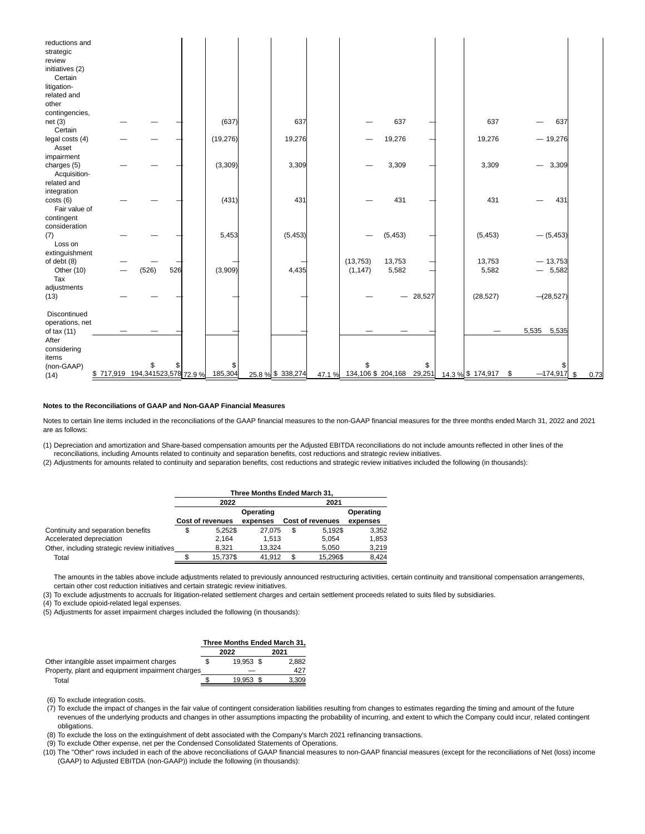| reductions and<br>strategic<br>review<br>initiatives (2)<br>Certain<br>litigation-<br>related and |                                 |       |     |           |                   |                                  |          |        |                   |                                   |      |
|---------------------------------------------------------------------------------------------------|---------------------------------|-------|-----|-----------|-------------------|----------------------------------|----------|--------|-------------------|-----------------------------------|------|
| other                                                                                             |                                 |       |     |           |                   |                                  |          |        |                   |                                   |      |
| contingencies,                                                                                    |                                 |       |     |           |                   |                                  |          |        |                   |                                   |      |
| net(3)<br>Certain                                                                                 |                                 |       |     | (637)     | 637               |                                  | 637      |        | 637               | 637                               |      |
| legal costs (4)<br>Asset                                                                          |                                 |       |     | (19, 276) | 19,276            |                                  | 19,276   |        | 19,276            | $-19,276$                         |      |
| impairment                                                                                        |                                 |       |     |           |                   |                                  |          |        |                   |                                   |      |
| charges (5)<br>Acquisition-                                                                       |                                 |       |     | (3, 309)  | 3,309             |                                  | 3,309    |        | 3,309             | 3,309<br>$\overline{\phantom{0}}$ |      |
| related and                                                                                       |                                 |       |     |           |                   |                                  |          |        |                   |                                   |      |
| integration                                                                                       |                                 |       |     |           |                   |                                  |          |        |                   |                                   |      |
| costs(6)<br>Fair value of                                                                         |                                 |       |     | (431)     | 431               |                                  | 431      |        | 431               | 431                               |      |
| contingent                                                                                        |                                 |       |     |           |                   |                                  |          |        |                   |                                   |      |
| consideration                                                                                     |                                 |       |     |           |                   |                                  |          |        |                   |                                   |      |
| (7)<br>Loss on                                                                                    |                                 |       |     | 5,453     | (5, 453)          |                                  | (5, 453) |        | (5, 453)          | $-$ (5,453)                       |      |
| extinguishment                                                                                    |                                 |       |     |           |                   |                                  | 13,753   |        | 13,753            | $-13,753$                         |      |
| of debt (8)<br>Other (10)<br>Tax                                                                  |                                 | (526) | 526 | (3,909)   | 4,435             | (13, 753)<br>(1, 147)            | 5,582    |        | 5,582             | $-5,582$                          |      |
| adjustments                                                                                       |                                 |       |     |           |                   |                                  |          |        |                   |                                   |      |
| (13)                                                                                              |                                 |       |     |           |                   |                                  |          | 28,527 | (28, 527)         | $-(28,527)$                       |      |
| Discontinued                                                                                      |                                 |       |     |           |                   |                                  |          |        |                   |                                   |      |
| operations, net                                                                                   |                                 |       |     |           |                   |                                  |          |        |                   |                                   |      |
| of tax (11)<br>After                                                                              |                                 |       |     |           |                   |                                  |          |        |                   | 5,535<br>5,535                    |      |
| considering                                                                                       |                                 |       |     |           |                   |                                  |          |        |                   |                                   |      |
| items                                                                                             |                                 |       |     |           |                   |                                  |          |        |                   |                                   |      |
| (non-GAAP)                                                                                        |                                 | \$    |     | \$        |                   | \$                               |          | \$     |                   |                                   |      |
| (14)                                                                                              | \$717,919 194,341523,578 72.9 % |       |     | 185,304   | 25.8 % \$ 338,274 | 47.1 % 134,106 \$ 204,168 29,251 |          |        | 14.3 % \$ 174,917 | $-174,917$ \$<br>\$               | 0.73 |

## **Notes to the Reconciliations of GAAP and Non-GAAP Financial Measures**

Notes to certain line items included in the reconciliations of the GAAP financial measures to the on-GAAP financial measures for the three months ended March 31, 2022 and 2021 are as follows:

(1) Depreciation and amortization and Share-based compensation amounts per the Adjusted EBITDA reconciliations do not include amounts reflected in other lines of the reconciliations, including Amounts related to continuity and separation benefits, cost reductions and strategic review initiatives.

(2) Adjustments for amounts related to continuity and separation benefits, cost reductions and strategic review initiatives included the following (in thousands):

|                                               | Three Months Ended March 31, |                  |          |      |                         |          |  |  |
|-----------------------------------------------|------------------------------|------------------|----------|------|-------------------------|----------|--|--|
|                                               |                              | 2022             |          | 2021 |                         |          |  |  |
|                                               |                              | Operating        |          |      |                         |          |  |  |
|                                               |                              | Cost of revenues | expenses |      | <b>Cost of revenues</b> | expenses |  |  |
| Continuity and separation benefits            | S                            | 5.252\$          | 27.075   | \$   | 5.192\$                 | 3.352    |  |  |
| Accelerated depreciation                      |                              | 2.164            | 1.513    |      | 5.054                   | 1,853    |  |  |
| Other, including strategic review initiatives |                              | 8.321            | 13.324   |      | 5,050                   | 3,219    |  |  |
| Total                                         |                              | 15.737\$         | 41.912   | \$   | 15.296\$                | 8,424    |  |  |

The amounts in the tables above include adjustments related to previously announced restructuring activities, certain continuity and transitional compensation arrangements, certain other cost reduction initiatives and certain strategic review initiatives.

(3) To exclude adjustments to accruals for litigation-related settlement charges and certain settlement proceeds related to suits filed by subsidiaries.

(4) To exclude opioid-related legal expenses.

(5) Adjustments for asset impairment charges included the following (in thousands):

|                                                  | Three Months Ended March 31, |           |  |       |  |  |
|--------------------------------------------------|------------------------------|-----------|--|-------|--|--|
|                                                  |                              | 2022      |  | 2021  |  |  |
| Other intangible asset impairment charges        |                              | 19.953 \$ |  | 2.882 |  |  |
| Property, plant and equipment impairment charges |                              |           |  | 427   |  |  |
| Total                                            |                              | 19.953 \$ |  | 3.309 |  |  |

(6) To exclude integration costs.

- (7) To exclude the impact of changes in the fair value of contingent consideration liabilities resulting from changes to estimates regarding the timing and amount of the future revenues of the underlying products and changes in other assumptions impacting the probability of incurring, and extent to which the Company could incur, related contingent obligations.
- (8) To exclude the loss on the extinguishment of debt associated with the Company's March 2021 refinancing transactions.
- (9) To exclude Other expense, net per the Condensed Consolidated Statements of Operations. (10) The "Other" rows included in each of the above reconciliations of GAAP financial measures to non-GAAP financial measures (except for the reconciliations of Net (loss) income (GAAP) to Adjusted EBITDA (non-GAAP)) include the following (in thousands):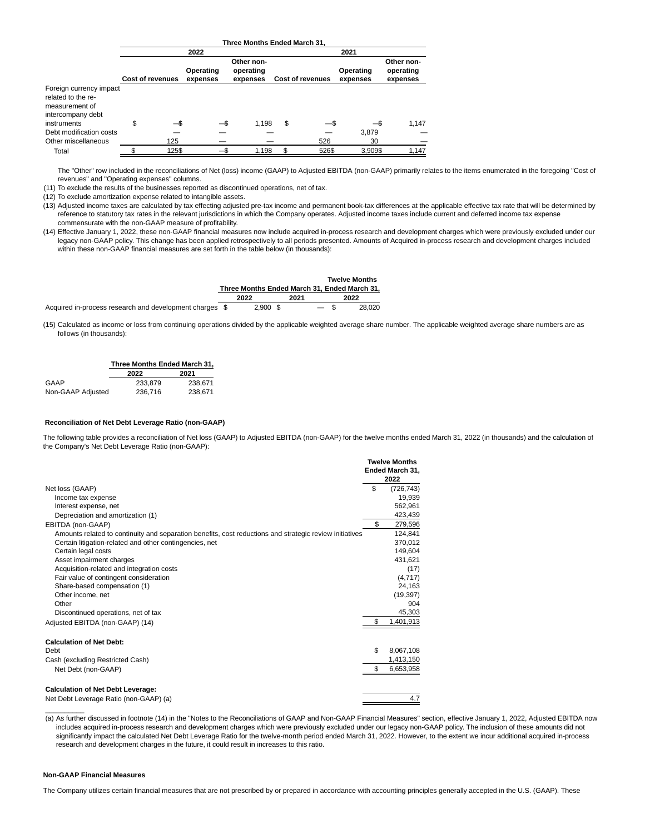|                                                                                      | Three Months Ended March 31. |       |                       |                                     |    |                  |                       |                                     |  |
|--------------------------------------------------------------------------------------|------------------------------|-------|-----------------------|-------------------------------------|----|------------------|-----------------------|-------------------------------------|--|
|                                                                                      |                              |       | 2022                  |                                     |    |                  | 2021                  |                                     |  |
|                                                                                      | Cost of revenues             |       | Operating<br>expenses | Other non-<br>operating<br>expenses |    | Cost of revenues | Operating<br>expenses | Other non-<br>operating<br>expenses |  |
| Foreign currency impact<br>related to the re-<br>measurement of<br>intercompany debt |                              |       |                       |                                     |    |                  |                       |                                     |  |
| instruments                                                                          | \$                           | —\$   | —\$                   | 1,198                               | \$ | —\$              | —\$                   | 1,147                               |  |
| Debt modification costs                                                              |                              |       |                       |                                     |    |                  | 3,879                 |                                     |  |
| Other miscellaneous                                                                  |                              | 125   |                       |                                     |    | 526              | 30                    |                                     |  |
| Total                                                                                |                              | 125\$ |                       | 1.198                               |    | 526\$            | 3.909\$               | 1,147                               |  |

The "Other" row included in the reconciliations of Net (loss) income (GAAP) to Adjusted EBITDA (non-GAAP) primarily relates to the items enumerated in the foregoing "Cost of revenues" and "Operating expenses" columns.

(11) To exclude the results of the businesses reported as discontinued operations, net of tax.

(12) To exclude amortization expense related to intangible assets.

(13) Adjusted income taxes are calculated by tax effecting adjusted pre-tax income and permanent book-tax differences at the applicable effective tax rate that will be determined by reference to statutory tax rates in the relevant jurisdictions in which the Company operates. Adjusted income taxes include current and deferred income tax expense commensurate with the non-GAAP measure of profitability.

(14) Effective January 1, 2022, these non-GAAP financial measures now include acquired in-process research and development charges which were previously excluded under our legacy non-GAAP policy. This change has been applied retrospectively to all periods presented. Amounts of Acquired in-process research and development charges included within these non-GAAP financial measures are set forth in the table below (in thousands):

|                                                         |         |      |        | <b>Twelve Months</b>                         |
|---------------------------------------------------------|---------|------|--------|----------------------------------------------|
|                                                         |         |      |        | Three Months Ended March 31, Ended March 31, |
|                                                         | 2022    | 2021 |        | 2022                                         |
| Acquired in-process research and development charges \$ | 2.900 S |      | $-$ \$ | 28.020                                       |

(15) Calculated as income or loss from continuing operations divided by the applicable weighted average share number. The applicable weighted average share numbers are as follows (in thousands):

|                   | Three Months Ended March 31, |         |  |  |  |  |
|-------------------|------------------------------|---------|--|--|--|--|
|                   | 2022                         | 2021    |  |  |  |  |
| GAAP              | 233.879                      | 238.671 |  |  |  |  |
| Non-GAAP Adjusted | 236.716                      | 238.671 |  |  |  |  |

## **Reconciliation of Net Debt Leverage Ratio (non-GAAP)**

The following table provides a reconciliation of Net loss (GAAP) to Adjusted EBITDA (non-GAAP) for the twelve months ended March 31, 2022 (in thousands) and the calculation of the Company's Net Debt Leverage Ratio (non-GAAP):

|                                                                                                         |    | <b>Twelve Months</b><br>Ended March 31,<br>2022 |
|---------------------------------------------------------------------------------------------------------|----|-------------------------------------------------|
| Net loss (GAAP)                                                                                         | \$ | (726, 743)                                      |
| Income tax expense                                                                                      |    | 19,939                                          |
| Interest expense, net                                                                                   |    | 562.961                                         |
| Depreciation and amortization (1)                                                                       |    | 423,439                                         |
| EBITDA (non-GAAP)                                                                                       | \$ | 279,596                                         |
| Amounts related to continuity and separation benefits, cost reductions and strategic review initiatives |    | 124.841                                         |
| Certain litigation-related and other contingencies, net                                                 |    | 370,012                                         |
| Certain legal costs                                                                                     |    | 149,604                                         |
| Asset impairment charges                                                                                |    | 431,621                                         |
| Acquisition-related and integration costs                                                               |    | (17)                                            |
| Fair value of contingent consideration                                                                  |    | (4, 717)                                        |
| Share-based compensation (1)                                                                            |    | 24,163                                          |
| Other income, net                                                                                       |    | (19, 397)                                       |
| Other                                                                                                   |    | 904                                             |
| Discontinued operations, net of tax                                                                     |    | 45,303                                          |
| Adjusted EBITDA (non-GAAP) (14)                                                                         | S  | 1,401,913                                       |
| <b>Calculation of Net Debt:</b>                                                                         |    |                                                 |
| Debt                                                                                                    | \$ | 8,067,108                                       |
| Cash (excluding Restricted Cash)                                                                        |    | 1,413,150                                       |
| Net Debt (non-GAAP)                                                                                     | \$ | 6,653,958                                       |
| <b>Calculation of Net Debt Leverage:</b>                                                                |    |                                                 |
| Net Debt Leverage Ratio (non-GAAP) (a)                                                                  |    | 4.7                                             |

(a) As further discussed in footnote (14) in the "Notes to the Reconciliations of GAAP and Non-GAAP Financial Measures" section, effective January 1, 2022, Adjusted EBITDA now includes acquired in-process research and development charges which were previously excluded under our legacy non-GAAP policy. The inclusion of these amounts did not significantly impact the calculated Net Debt Leverage Ratio for the twelve-month period ended March 31, 2022. However, to the extent we incur additional acquired in-process research and development charges in the future, it could result in increases to this ratio.

## **Non-GAAP Financial Measures**

 $\frac{1}{2}$ 

The Company utilizes certain financial measures that are not prescribed by or prepared in accordance with accounting principles generally accepted in the U.S. (GAAP). These